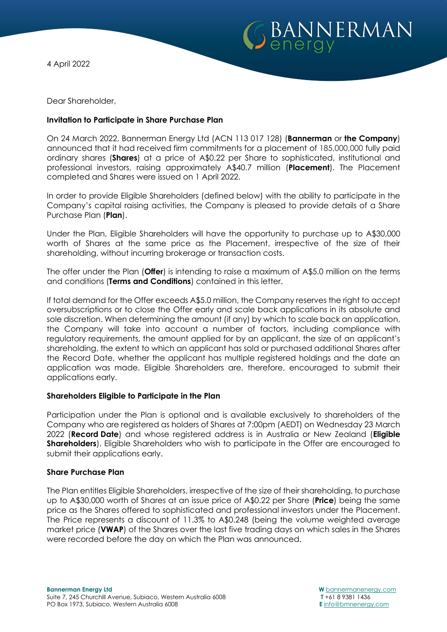



Dear Shareholder,

# **Invitation to Participate in Share Purchase Plan**

On 24 March 2022, Bannerman Energy Ltd (ACN 113 017 128) (**Bannerman** or **the Company**) announced that it had received firm commitments for a placement of 185,000,000 fully paid ordinary shares (**Shares**) at a price of A\$0.22 per Share to sophisticated, institutional and professional investors, raising approximately A\$40.7 million (**Placement**). The Placement completed and Shares were issued on 1 April 2022.

In order to provide Eligible Shareholders (defined below) with the ability to participate in the Company's capital raising activities, the Company is pleased to provide details of a Share Purchase Plan (**Plan**).

Under the Plan, Eligible Shareholders will have the opportunity to purchase up to A\$30,000 worth of Shares at the same price as the Placement, irrespective of the size of their shareholding, without incurring brokerage or transaction costs.

The offer under the Plan (**Offer**) is intending to raise a maximum of A\$5.0 million on the terms and conditions (**Terms and Conditions**) contained in this letter.

If total demand for the Offer exceeds A\$5.0 million, the Company reserves the right to accept oversubscriptions or to close the Offer early and scale back applications in its absolute and sole discretion. When determining the amount (if any) by which to scale back an application, the Company will take into account a number of factors, including compliance with regulatory requirements, the amount applied for by an applicant, the size of an applicant's shareholding, the extent to which an applicant has sold or purchased additional Shares after the Record Date, whether the applicant has multiple registered holdings and the date an application was made. Eligible Shareholders are, therefore, encouraged to submit their applications early.

# **Shareholders Eligible to Participate in the Plan**

Participation under the Plan is optional and is available exclusively to shareholders of the Company who are registered as holders of Shares at 7:00pm (AEDT) on Wednesday 23 March 2022 (**Record Date**) and whose registered address is in Australia or New Zealand (**Eligible Shareholders**). Eligible Shareholders who wish to participate in the Offer are encouraged to submit their applications early.

### **Share Purchase Plan**

The Plan entitles Eligible Shareholders, irrespective of the size of their shareholding, to purchase up to A\$30,000 worth of Shares at an issue price of A\$0.22 per Share (**Price**) being the same price as the Shares offered to sophisticated and professional investors under the Placement. The Price represents a discount of 11.3% to A\$0.248 (being the volume weighted average market price (**VWAP**) of the Shares over the last five trading days on which sales in the Shares were recorded before the day on which the Plan was announced.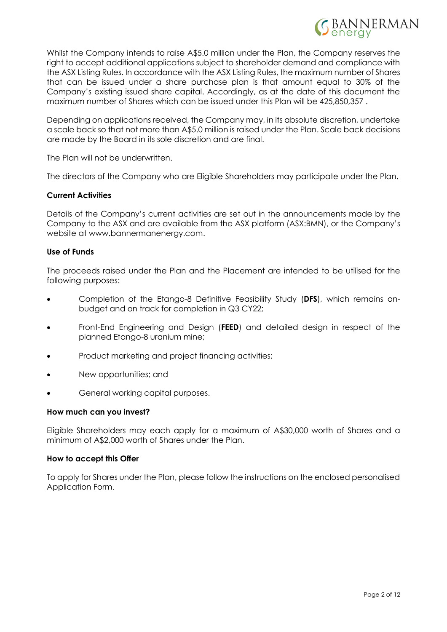

Whilst the Company intends to raise A\$5.0 million under the Plan, the Company reserves the right to accept additional applications subject to shareholder demand and compliance with the ASX Listing Rules. In accordance with the ASX Listing Rules, the maximum number of Shares that can be issued under a share purchase plan is that amount equal to 30% of the Company's existing issued share capital. Accordingly, as at the date of this document the maximum number of Shares which can be issued under this Plan will be 425,850,357 .

Depending on applications received, the Company may, in its absolute discretion, undertake a scale back so that not more than A\$5.0 million is raised under the Plan. Scale back decisions are made by the Board in its sole discretion and are final.

The Plan will not be underwritten.

The directors of the Company who are Eligible Shareholders may participate under the Plan.

# **Current Activities**

Details of the Company's current activities are set out in the announcements made by the Company to the ASX and are available from the ASX platform (ASX:BMN), or the Company's website at www.bannermanenergy.com.

### **Use of Funds**

The proceeds raised under the Plan and the Placement are intended to be utilised for the following purposes:

- Completion of the Etango-8 Definitive Feasibility Study (**DFS**), which remains onbudget and on track for completion in Q3 CY22;
- Front-End Engineering and Design (**FEED**) and detailed design in respect of the planned Etango-8 uranium mine;
- Product marketing and project financing activities;
- New opportunities; and
- General working capital purposes.

### **How much can you invest?**

Eligible Shareholders may each apply for a maximum of A\$30,000 worth of Shares and a minimum of A\$2,000 worth of Shares under the Plan.

### **How to accept this Offer**

To apply for Shares under the Plan, please follow the instructions on the enclosed personalised Application Form.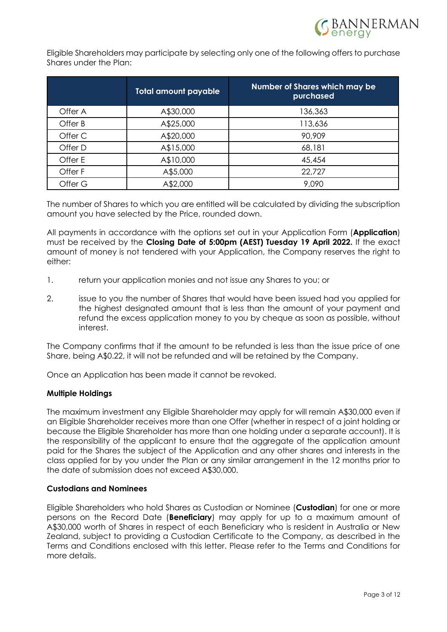Eligible Shareholders may participate by selecting only one of the following offers to purchase Shares under the Plan:

|         | <b>Total amount payable</b> | Number of Shares which may be<br>purchased |
|---------|-----------------------------|--------------------------------------------|
| Offer A | A\$30,000                   | 136,363                                    |
| Offer B | A\$25,000                   | 113,636                                    |
| Offer C | A\$20,000                   | 90,909                                     |
| Offer D | A\$15,000                   | 68,181                                     |
| Offer E | A\$10,000                   | 45,454                                     |
| Offer F | A\$5,000                    | 22,727                                     |
| Offer G | A\$2,000                    | 9,090                                      |

The number of Shares to which you are entitled will be calculated by dividing the subscription amount you have selected by the Price, rounded down.

All payments in accordance with the options set out in your Application Form (**Application**) must be received by the **Closing Date of 5:00pm (AEST) Tuesday 19 April 2022.** If the exact amount of money is not tendered with your Application, the Company reserves the right to either:

- 1. return your application monies and not issue any Shares to you; or
- 2. issue to you the number of Shares that would have been issued had you applied for the highest designated amount that is less than the amount of your payment and refund the excess application money to you by cheque as soon as possible, without interest.

The Company confirms that if the amount to be refunded is less than the issue price of one Share, being A\$0.22, it will not be refunded and will be retained by the Company.

Once an Application has been made it cannot be revoked.

### **Multiple Holdings**

The maximum investment any Eligible Shareholder may apply for will remain A\$30,000 even if an Eligible Shareholder receives more than one Offer (whether in respect of a joint holding or because the Eligible Shareholder has more than one holding under a separate account). It is the responsibility of the applicant to ensure that the aggregate of the application amount paid for the Shares the subject of the Application and any other shares and interests in the class applied for by you under the Plan or any similar arrangement in the 12 months prior to the date of submission does not exceed A\$30,000.

# **Custodians and Nominees**

Eligible Shareholders who hold Shares as Custodian or Nominee (**Custodian**) for one or more persons on the Record Date (**Beneficiary**) may apply for up to a maximum amount of A\$30,000 worth of Shares in respect of each Beneficiary who is resident in Australia or New Zealand, subject to providing a Custodian Certificate to the Company, as described in the Terms and Conditions enclosed with this letter. Please refer to the Terms and Conditions for more details.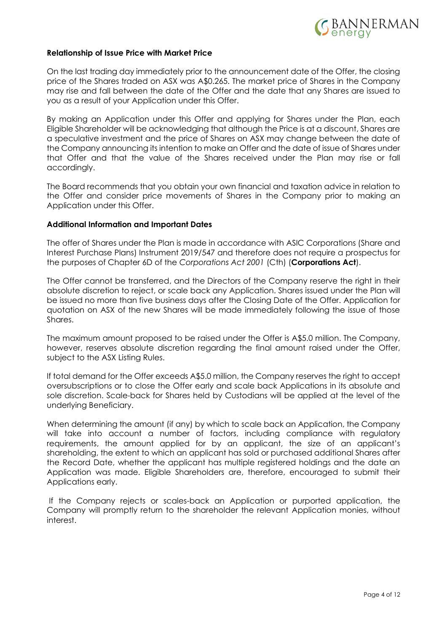

### **Relationship of Issue Price with Market Price**

On the last trading day immediately prior to the announcement date of the Offer, the closing price of the Shares traded on ASX was A\$0.265. The market price of Shares in the Company may rise and fall between the date of the Offer and the date that any Shares are issued to you as a result of your Application under this Offer.

By making an Application under this Offer and applying for Shares under the Plan, each Eligible Shareholder will be acknowledging that although the Price is at a discount, Shares are a speculative investment and the price of Shares on ASX may change between the date of the Company announcing its intention to make an Offer and the date of issue of Shares under that Offer and that the value of the Shares received under the Plan may rise or fall accordingly.

The Board recommends that you obtain your own financial and taxation advice in relation to the Offer and consider price movements of Shares in the Company prior to making an Application under this Offer.

### **Additional Information and Important Dates**

The offer of Shares under the Plan is made in accordance with ASIC Corporations (Share and Interest Purchase Plans) Instrument 2019/547 and therefore does not require a prospectus for the purposes of Chapter 6D of the *Corporations Act 2001* (Cth) (**Corporations Act**).

The Offer cannot be transferred, and the Directors of the Company reserve the right in their absolute discretion to reject, or scale back any Application. Shares issued under the Plan will be issued no more than five business days after the Closing Date of the Offer. Application for quotation on ASX of the new Shares will be made immediately following the issue of those Shares.

The maximum amount proposed to be raised under the Offer is A\$5.0 million. The Company, however, reserves absolute discretion regarding the final amount raised under the Offer, subject to the ASX Listing Rules.

If total demand for the Offer exceeds A\$5.0 million, the Company reserves the right to accept oversubscriptions or to close the Offer early and scale back Applications in its absolute and sole discretion. Scale-back for Shares held by Custodians will be applied at the level of the underlying Beneficiary.

When determining the amount (if any) by which to scale back an Application, the Company will take into account a number of factors, including compliance with regulatory requirements, the amount applied for by an applicant, the size of an applicant's shareholding, the extent to which an applicant has sold or purchased additional Shares after the Record Date, whether the applicant has multiple registered holdings and the date an Application was made. Eligible Shareholders are, therefore, encouraged to submit their Applications early.

If the Company rejects or scales-back an Application or purported application, the Company will promptly return to the shareholder the relevant Application monies, without interest.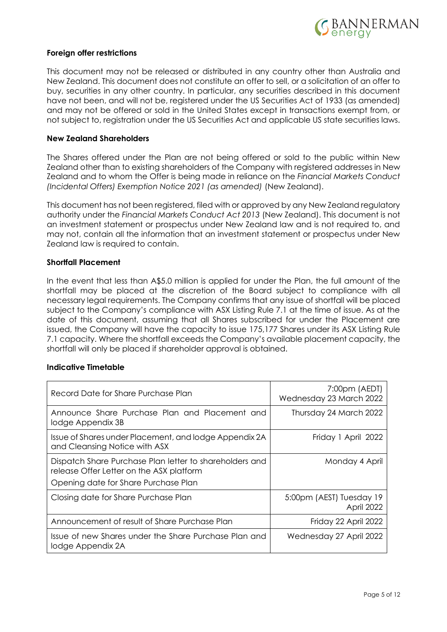

### **Foreign offer restrictions**

This document may not be released or distributed in any country other than Australia and New Zealand. This document does not constitute an offer to sell, or a solicitation of an offer to buy, securities in any other country. In particular, any securities described in this document have not been, and will not be, registered under the US Securities Act of 1933 (as amended) and may not be offered or sold in the United States except in transactions exempt from, or not subject to, registration under the US Securities Act and applicable US state securities laws.

### **New Zealand Shareholders**

The Shares offered under the Plan are not being offered or sold to the public within New Zealand other than to existing shareholders of the Company with registered addresses in New Zealand and to whom the Offer is being made in reliance on the *Financial Markets Conduct (Incidental Offers) Exemption Notice 2021 (as amended)* (New Zealand).

This document has not been registered, filed with or approved by any New Zealand regulatory authority under the *Financial Markets Conduct Act 2013* (New Zealand). This document is not an investment statement or prospectus under New Zealand law and is not required to, and may not, contain all the information that an investment statement or prospectus under New Zealand law is required to contain.

## **Shortfall Placement**

In the event that less than A\$5.0 million is applied for under the Plan, the full amount of the shortfall may be placed at the discretion of the Board subject to compliance with all necessary legal requirements. The Company confirms that any issue of shortfall will be placed subject to the Company's compliance with ASX Listing Rule 7.1 at the time of issue. As at the date of this document, assuming that all Shares subscribed for under the Placement are issued, the Company will have the capacity to issue 175,177 Shares under its ASX Listing Rule 7.1 capacity. Where the shortfall exceeds the Company's available placement capacity, the shortfall will only be placed if shareholder approval is obtained.

### **Indicative Timetable**

| Record Date for Share Purchase Plan                                                                                                         | 7:00pm (AEDT)<br>Wednesday 23 March 2022 |
|---------------------------------------------------------------------------------------------------------------------------------------------|------------------------------------------|
| Announce Share Purchase Plan and Placement and<br>lodge Appendix 3B                                                                         | Thursday 24 March 2022                   |
| Issue of Shares under Placement, and lodge Appendix 2A<br>and Cleansing Notice with ASX                                                     | Friday 1 April 2022                      |
| Dispatch Share Purchase Plan letter to shareholders and<br>release Offer Letter on the ASX platform<br>Opening date for Share Purchase Plan | Monday 4 April                           |
| Closing date for Share Purchase Plan                                                                                                        | 5:00pm (AEST) Tuesday 19<br>April 2022   |
| Announcement of result of Share Purchase Plan                                                                                               | Friday 22 April 2022                     |
| Issue of new Shares under the Share Purchase Plan and<br>lodge Appendix 2A                                                                  | Wednesday 27 April 2022                  |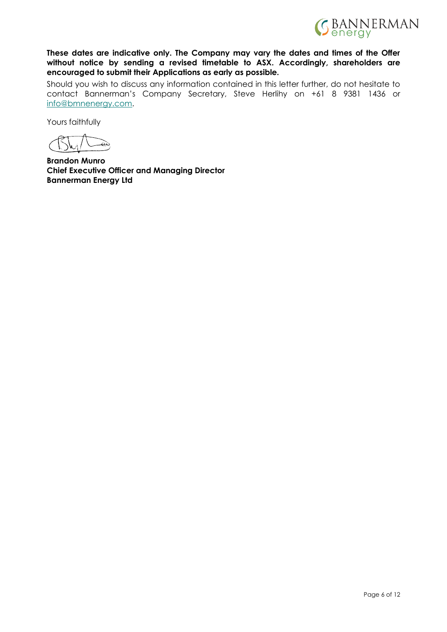

**These dates are indicative only. The Company may vary the dates and times of the Offer without notice by sending a revised timetable to ASX. Accordingly, shareholders are encouraged to submit their Applications as early as possible.**

Should you wish to discuss any information contained in this letter further, do not hesitate to contact Bannerman's Company Secretary, Steve Herlihy on +61 8 9381 1436 or [info@bmnenergy.com.](mailto:info@bmnenergy.com)

Yours faithfully

**Brandon Munro Chief Executive Officer and Managing Director Bannerman Energy Ltd**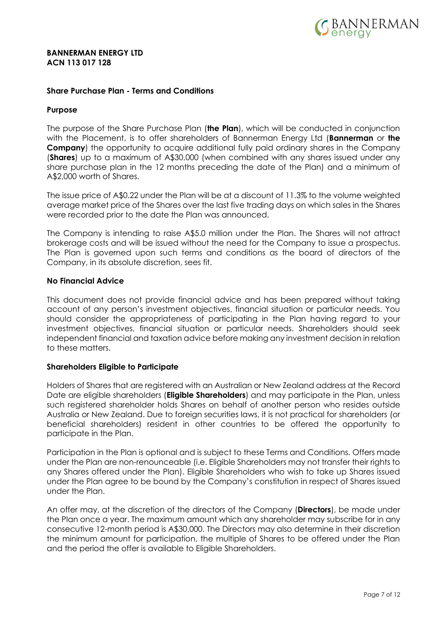

#### **BANNERMAN ENERGY LTD ACN 113 017 128**

### **Share Purchase Plan - Terms and Conditions**

#### **Purpose**

The purpose of the Share Purchase Plan (**the Plan**), which will be conducted in conjunction with the Placement, is to offer shareholders of Bannerman Energy Ltd (**Bannerman** or **the Company**) the opportunity to acquire additional fully paid ordinary shares in the Company (**Shares**) up to a maximum of A\$30,000 (when combined with any shares issued under any share purchase plan in the 12 months preceding the date of the Plan) and a minimum of A\$2,000 worth of Shares.

The issue price of A\$0.22 under the Plan will be at a discount of 11.3% to the volume weighted average market price of the Shares over the last five trading days on which sales in the Shares were recorded prior to the date the Plan was announced.

The Company is intending to raise A\$5.0 million under the Plan. The Shares will not attract brokerage costs and will be issued without the need for the Company to issue a prospectus. The Plan is governed upon such terms and conditions as the board of directors of the Company, in its absolute discretion, sees fit.

### **No Financial Advice**

This document does not provide financial advice and has been prepared without taking account of any person's investment objectives, financial situation or particular needs. You should consider the appropriateness of participating in the Plan having regard to your investment objectives, financial situation or particular needs. Shareholders should seek independent financial and taxation advice before making any investment decision in relation to these matters.

### **Shareholders Eligible to Participate**

Holders of Shares that are registered with an Australian or New Zealand address at the Record Date are eligible shareholders (**Eligible Shareholders**) and may participate in the Plan, unless such registered shareholder holds Shares on behalf of another person who resides outside Australia or New Zealand. Due to foreign securities laws, it is not practical for shareholders (or beneficial shareholders) resident in other countries to be offered the opportunity to participate in the Plan.

Participation in the Plan is optional and is subject to these Terms and Conditions. Offers made under the Plan are non-renounceable (i.e. Eligible Shareholders may not transfer their rights to any Shares offered under the Plan). Eligible Shareholders who wish to take up Shares issued under the Plan agree to be bound by the Company's constitution in respect of Shares issued under the Plan.

An offer may, at the discretion of the directors of the Company (**Directors**), be made under the Plan once a year. The maximum amount which any shareholder may subscribe for in any consecutive 12-month period is A\$30,000. The Directors may also determine in their discretion the minimum amount for participation, the multiple of Shares to be offered under the Plan and the period the offer is available to Eligible Shareholders.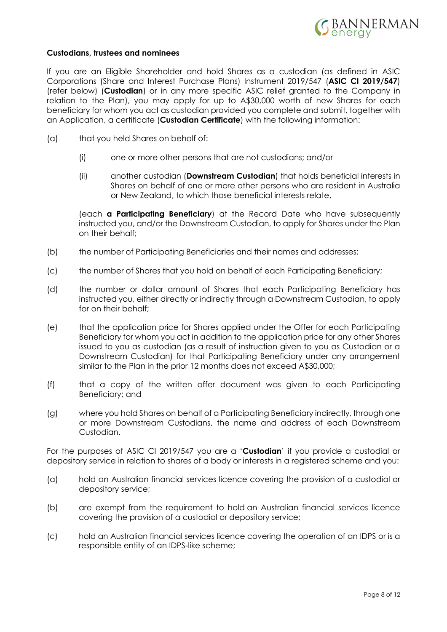

### **Custodians, trustees and nominees**

If you are an Eligible Shareholder and hold Shares as a custodian (as defined in ASIC Corporations (Share and Interest Purchase Plans) Instrument 2019/547 (**ASIC CI 2019/547**) (refer below) (**Custodian**) or in any more specific ASIC relief granted to the Company in relation to the Plan), you may apply for up to A\$30,000 worth of new Shares for each beneficiary for whom you act as custodian provided you complete and submit, together with an Application, a certificate (**Custodian Certificate**) with the following information:

- (a) that you held Shares on behalf of:
	- (i) one or more other persons that are not custodians; and/or
	- (ii) another custodian (**Downstream Custodian**) that holds beneficial interests in Shares on behalf of one or more other persons who are resident in Australia or New Zealand, to which those beneficial interests relate,

(each **a Participating Beneficiary**) at the Record Date who have subsequently instructed you, and/or the Downstream Custodian, to apply for Shares under the Plan on their behalf;

- (b) the number of Participating Beneficiaries and their names and addresses;
- (c) the number of Shares that you hold on behalf of each Participating Beneficiary;
- (d) the number or dollar amount of Shares that each Participating Beneficiary has instructed you, either directly or indirectly through a Downstream Custodian, to apply for on their behalf;
- (e) that the application price for Shares applied under the Offer for each Participating Beneficiary for whom you act in addition to the application price for any other Shares issued to you as custodian (as a result of instruction given to you as Custodian or a Downstream Custodian) for that Participating Beneficiary under any arrangement similar to the Plan in the prior 12 months does not exceed A\$30,000;
- (f) that a copy of the written offer document was given to each Participating Beneficiary; and
- (g) where you hold Shares on behalf of a Participating Beneficiary indirectly, through one or more Downstream Custodians, the name and address of each Downstream Custodian.

For the purposes of ASIC CI 2019/547 you are a '**Custodian**' if you provide a custodial or depository service in relation to shares of a body or interests in a registered scheme and you:

- (a) hold an Australian financial services licence covering the provision of a custodial or depository service;
- (b) are exempt from the requirement to hold an Australian financial services licence covering the provision of a custodial or depository service;
- (c) hold an Australian financial services licence covering the operation of an IDPS or is a responsible entity of an IDPS-like scheme;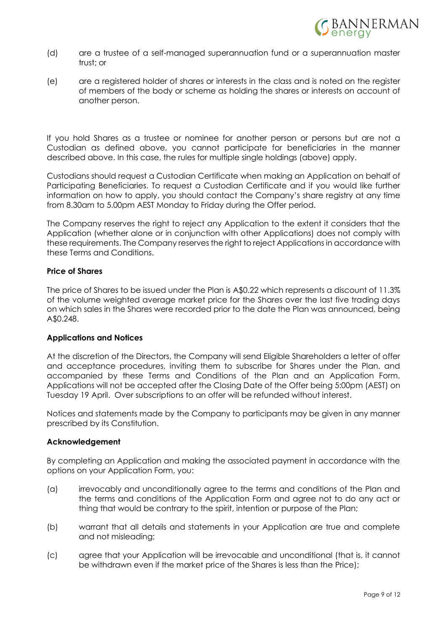

- (d) are a trustee of a self-managed superannuation fund or a superannuation master trust; or
- (e) are a registered holder of shares or interests in the class and is noted on the register of members of the body or scheme as holding the shares or interests on account of another person.

If you hold Shares as a trustee or nominee for another person or persons but are not a Custodian as defined above, you cannot participate for beneficiaries in the manner described above. In this case, the rules for multiple single holdings (above) apply.

Custodians should request a Custodian Certificate when making an Application on behalf of Participating Beneficiaries. To request a Custodian Certificate and if you would like further information on how to apply, you should contact the Company's share registry at any time from 8.30am to 5.00pm AEST Monday to Friday during the Offer period.

The Company reserves the right to reject any Application to the extent it considers that the Application (whether alone or in conjunction with other Applications) does not comply with these requirements. The Company reserves the right to reject Applications in accordance with these Terms and Conditions.

## **Price of Shares**

The price of Shares to be issued under the Plan is A\$0.22 which represents a discount of 11.3% of the volume weighted average market price for the Shares over the last five trading days on which sales in the Shares were recorded prior to the date the Plan was announced, being A\$0.248.

### **Applications and Notices**

At the discretion of the Directors, the Company will send Eligible Shareholders a letter of offer and acceptance procedures, inviting them to subscribe for Shares under the Plan, and accompanied by these Terms and Conditions of the Plan and an Application Form. Applications will not be accepted after the Closing Date of the Offer being 5:00pm (AEST) on Tuesday 19 April. Over subscriptions to an offer will be refunded without interest.

Notices and statements made by the Company to participants may be given in any manner prescribed by its Constitution.

### **Acknowledgement**

By completing an Application and making the associated payment in accordance with the options on your Application Form, you:

- (a) irrevocably and unconditionally agree to the terms and conditions of the Plan and the terms and conditions of the Application Form and agree not to do any act or thing that would be contrary to the spirit, intention or purpose of the Plan;
- (b) warrant that all details and statements in your Application are true and complete and not misleading;
- (c) agree that your Application will be irrevocable and unconditional (that is, it cannot be withdrawn even if the market price of the Shares is less than the Price);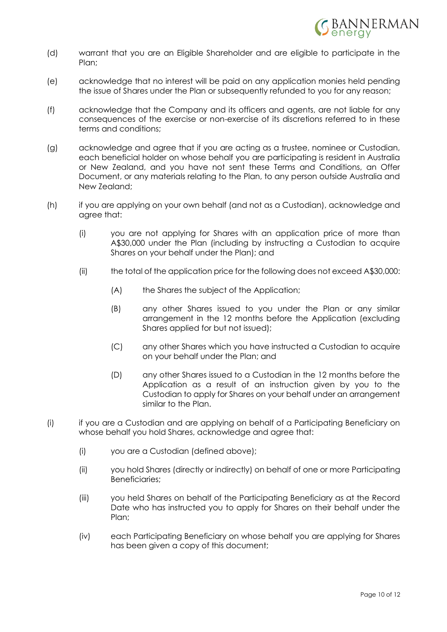

- (d) warrant that you are an Eligible Shareholder and are eligible to participate in the Plan:
- (e) acknowledge that no interest will be paid on any application monies held pending the issue of Shares under the Plan or subsequently refunded to you for any reason;
- (f) acknowledge that the Company and its officers and agents, are not liable for any consequences of the exercise or non-exercise of its discretions referred to in these terms and conditions;
- (g) acknowledge and agree that if you are acting as a trustee, nominee or Custodian, each beneficial holder on whose behalf you are participating is resident in Australia or New Zealand, and you have not sent these Terms and Conditions, an Offer Document, or any materials relating to the Plan, to any person outside Australia and New Zealand;
- (h) if you are applying on your own behalf (and not as a Custodian), acknowledge and agree that:
	- (i) you are not applying for Shares with an application price of more than A\$30,000 under the Plan (including by instructing a Custodian to acquire Shares on your behalf under the Plan); and
	- (ii) the total of the application price for the following does not exceed A\$30,000:
		- (A) the Shares the subject of the Application;
		- (B) any other Shares issued to you under the Plan or any similar arrangement in the 12 months before the Application (excluding Shares applied for but not issued);
		- (C) any other Shares which you have instructed a Custodian to acquire on your behalf under the Plan; and
		- (D) any other Shares issued to a Custodian in the 12 months before the Application as a result of an instruction given by you to the Custodian to apply for Shares on your behalf under an arrangement similar to the Plan.
- (i) if you are a Custodian and are applying on behalf of a Participating Beneficiary on whose behalf you hold Shares, acknowledge and agree that:
	- (i) you are a Custodian (defined above);
	- (ii) you hold Shares (directly or indirectly) on behalf of one or more Participating Beneficiaries;
	- (iii) you held Shares on behalf of the Participating Beneficiary as at the Record Date who has instructed you to apply for Shares on their behalf under the Plan;
	- (iv) each Participating Beneficiary on whose behalf you are applying for Shares has been given a copy of this document;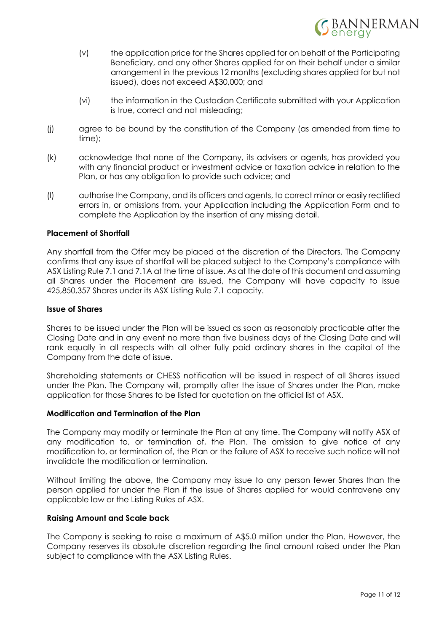

- (v) the application price for the Shares applied for on behalf of the Participating Beneficiary, and any other Shares applied for on their behalf under a similar arrangement in the previous 12 months (excluding shares applied for but not issued), does not exceed A\$30,000; and
- (vi) the information in the Custodian Certificate submitted with your Application is true, correct and not misleading;
- (j) agree to be bound by the constitution of the Company (as amended from time to time);
- (k) acknowledge that none of the Company, its advisers or agents, has provided you with any financial product or investment advice or taxation advice in relation to the Plan, or has any obligation to provide such advice; and
- (l) authorise the Company, and its officers and agents, to correct minor or easily rectified errors in, or omissions from, your Application including the Application Form and to complete the Application by the insertion of any missing detail.

### **Placement of Shortfall**

Any shortfall from the Offer may be placed at the discretion of the Directors. The Company confirms that any issue of shortfall will be placed subject to the Company's compliance with ASX Listing Rule 7.1 and 7.1A at the time of issue. As at the date of this document and assuming all Shares under the Placement are issued, the Company will have capacity to issue 425,850,357 Shares under its ASX Listing Rule 7.1 capacity.

#### **Issue of Shares**

Shares to be issued under the Plan will be issued as soon as reasonably practicable after the Closing Date and in any event no more than five business days of the Closing Date and will rank equally in all respects with all other fully paid ordinary shares in the capital of the Company from the date of issue.

Shareholding statements or CHESS notification will be issued in respect of all Shares issued under the Plan. The Company will, promptly after the issue of Shares under the Plan, make application for those Shares to be listed for quotation on the official list of ASX.

### **Modification and Termination of the Plan**

The Company may modify or terminate the Plan at any time. The Company will notify ASX of any modification to, or termination of, the Plan. The omission to give notice of any modification to, or termination of, the Plan or the failure of ASX to receive such notice will not invalidate the modification or termination.

Without limiting the above, the Company may issue to any person fewer Shares than the person applied for under the Plan if the issue of Shares applied for would contravene any applicable law or the Listing Rules of ASX.

### **Raising Amount and Scale back**

The Company is seeking to raise a maximum of A\$5.0 million under the Plan. However, the Company reserves its absolute discretion regarding the final amount raised under the Plan subject to compliance with the ASX Listing Rules.